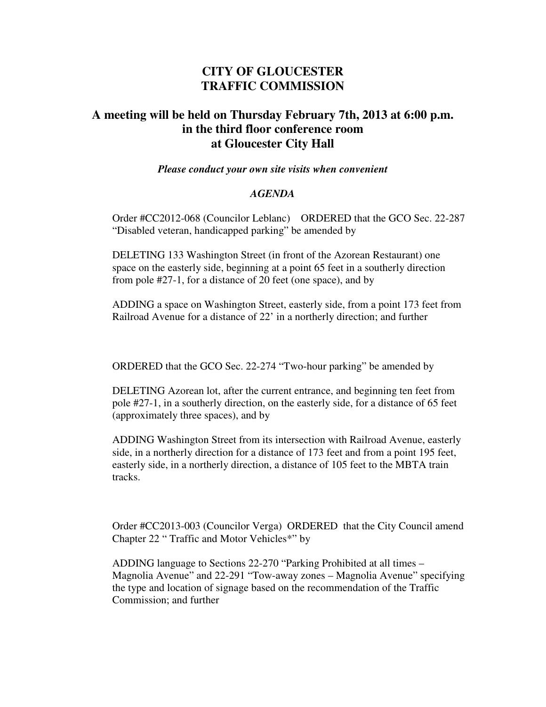## **CITY OF GLOUCESTER TRAFFIC COMMISSION**

## **A meeting will be held on Thursday February 7th, 2013 at 6:00 p.m. in the third floor conference room at Gloucester City Hall**

## *Please conduct your own site visits when convenient*

## *AGENDA*

Order #CC2012-068 (Councilor Leblanc) ORDERED that the GCO Sec. 22-287 "Disabled veteran, handicapped parking" be amended by

DELETING 133 Washington Street (in front of the Azorean Restaurant) one space on the easterly side, beginning at a point 65 feet in a southerly direction from pole #27-1, for a distance of 20 feet (one space), and by

ADDING a space on Washington Street, easterly side, from a point 173 feet from Railroad Avenue for a distance of 22' in a northerly direction; and further

ORDERED that the GCO Sec. 22-274 "Two-hour parking" be amended by

DELETING Azorean lot, after the current entrance, and beginning ten feet from pole #27-1, in a southerly direction, on the easterly side, for a distance of 65 feet (approximately three spaces), and by

ADDING Washington Street from its intersection with Railroad Avenue, easterly side, in a northerly direction for a distance of 173 feet and from a point 195 feet, easterly side, in a northerly direction, a distance of 105 feet to the MBTA train tracks.

Order #CC2013-003 (Councilor Verga) ORDERED that the City Council amend Chapter 22 " Traffic and Motor Vehicles\*" by

ADDING language to Sections 22-270 "Parking Prohibited at all times – Magnolia Avenue" and 22-291 "Tow-away zones – Magnolia Avenue" specifying the type and location of signage based on the recommendation of the Traffic Commission; and further